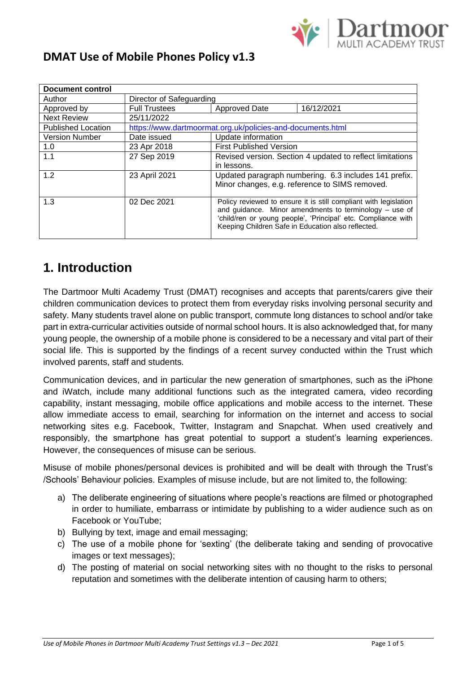

#### **DMAT Use of Mobile Phones Policy v1.3**

| <b>Document control</b>                                    |                                                                  |                                                                                                                                                 |
|------------------------------------------------------------|------------------------------------------------------------------|-------------------------------------------------------------------------------------------------------------------------------------------------|
|                                                            |                                                                  |                                                                                                                                                 |
| <b>Full Trustees</b>                                       | Approved Date                                                    | 16/12/2021                                                                                                                                      |
| 25/11/2022                                                 |                                                                  |                                                                                                                                                 |
| https://www.dartmoormat.org.uk/policies-and-documents.html |                                                                  |                                                                                                                                                 |
| Date issued                                                | Update information                                               |                                                                                                                                                 |
| 23 Apr 2018                                                | <b>First Published Version</b>                                   |                                                                                                                                                 |
| 27 Sep 2019                                                | Revised version. Section 4 updated to reflect limitations        |                                                                                                                                                 |
|                                                            | in lessons.                                                      |                                                                                                                                                 |
| 23 April 2021                                              | Updated paragraph numbering. 6.3 includes 141 prefix.            |                                                                                                                                                 |
|                                                            | Minor changes, e.g. reference to SIMS removed.                   |                                                                                                                                                 |
|                                                            |                                                                  |                                                                                                                                                 |
| 02 Dec 2021                                                | Policy reviewed to ensure it is still compliant with legislation |                                                                                                                                                 |
|                                                            |                                                                  | and guidance. Minor amendments to terminology $-$ use of                                                                                        |
|                                                            |                                                                  |                                                                                                                                                 |
|                                                            |                                                                  |                                                                                                                                                 |
|                                                            |                                                                  | Director of Safeguarding<br>'child/ren or young people', 'Principal' etc. Compliance with<br>Keeping Children Safe in Education also reflected. |

### **1. Introduction**

The Dartmoor Multi Academy Trust (DMAT) recognises and accepts that parents/carers give their children communication devices to protect them from everyday risks involving personal security and safety. Many students travel alone on public transport, commute long distances to school and/or take part in extra-curricular activities outside of normal school hours. It is also acknowledged that, for many young people, the ownership of a mobile phone is considered to be a necessary and vital part of their social life. This is supported by the findings of a recent survey conducted within the Trust which involved parents, staff and students.

Communication devices, and in particular the new generation of smartphones, such as the iPhone and iWatch, include many additional functions such as the integrated camera, video recording capability, instant messaging, mobile office applications and mobile access to the internet. These allow immediate access to email, searching for information on the internet and access to social networking sites e.g. Facebook, Twitter, Instagram and Snapchat. When used creatively and responsibly, the smartphone has great potential to support a student's learning experiences. However, the consequences of misuse can be serious.

Misuse of mobile phones/personal devices is prohibited and will be dealt with through the Trust's /Schools' Behaviour policies. Examples of misuse include, but are not limited to, the following:

- a) The deliberate engineering of situations where people's reactions are filmed or photographed in order to humiliate, embarrass or intimidate by publishing to a wider audience such as on Facebook or YouTube;
- b) Bullying by text, image and email messaging;
- c) The use of a mobile phone for 'sexting' (the deliberate taking and sending of provocative images or text messages);
- d) The posting of material on social networking sites with no thought to the risks to personal reputation and sometimes with the deliberate intention of causing harm to others;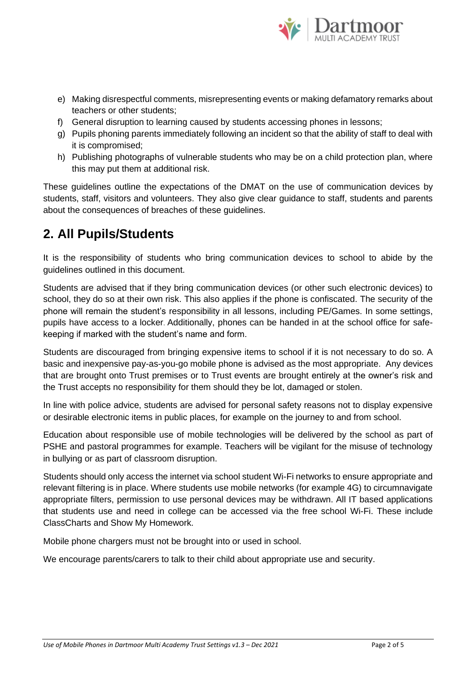

- e) Making disrespectful comments, misrepresenting events or making defamatory remarks about teachers or other students;
- f) General disruption to learning caused by students accessing phones in lessons;
- g) Pupils phoning parents immediately following an incident so that the ability of staff to deal with it is compromised;
- h) Publishing photographs of vulnerable students who may be on a child protection plan, where this may put them at additional risk.

These guidelines outline the expectations of the DMAT on the use of communication devices by students, staff, visitors and volunteers. They also give clear guidance to staff, students and parents about the consequences of breaches of these guidelines.

### **2. All Pupils/Students**

It is the responsibility of students who bring communication devices to school to abide by the guidelines outlined in this document.

Students are advised that if they bring communication devices (or other such electronic devices) to school, they do so at their own risk. This also applies if the phone is confiscated. The security of the phone will remain the student's responsibility in all lessons, including PE/Games. In some settings, pupils have access to a locker. Additionally, phones can be handed in at the school office for safekeeping if marked with the student's name and form.

Students are discouraged from bringing expensive items to school if it is not necessary to do so. A basic and inexpensive pay-as-you-go mobile phone is advised as the most appropriate. Any devices that are brought onto Trust premises or to Trust events are brought entirely at the owner's risk and the Trust accepts no responsibility for them should they be lot, damaged or stolen.

In line with police advice, students are advised for personal safety reasons not to display expensive or desirable electronic items in public places, for example on the journey to and from school.

Education about responsible use of mobile technologies will be delivered by the school as part of PSHE and pastoral programmes for example. Teachers will be vigilant for the misuse of technology in bullying or as part of classroom disruption.

Students should only access the internet via school student Wi-Fi networks to ensure appropriate and relevant filtering is in place. Where students use mobile networks (for example 4G) to circumnavigate appropriate filters, permission to use personal devices may be withdrawn. All IT based applications that students use and need in college can be accessed via the free school Wi-Fi. These include ClassCharts and Show My Homework.

Mobile phone chargers must not be brought into or used in school.

We encourage parents/carers to talk to their child about appropriate use and security.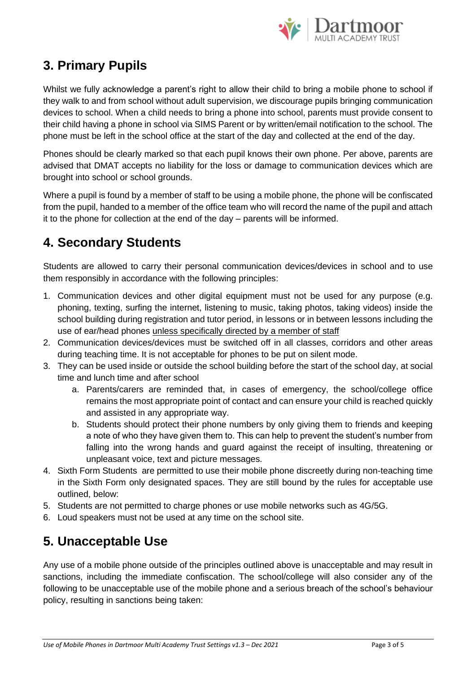

## **3. Primary Pupils**

Whilst we fully acknowledge a parent's right to allow their child to bring a mobile phone to school if they walk to and from school without adult supervision, we discourage pupils bringing communication devices to school. When a child needs to bring a phone into school, parents must provide consent to their child having a phone in school via SIMS Parent or by written/email notification to the school. The phone must be left in the school office at the start of the day and collected at the end of the day.

Phones should be clearly marked so that each pupil knows their own phone. Per above, parents are advised that DMAT accepts no liability for the loss or damage to communication devices which are brought into school or school grounds.

Where a pupil is found by a member of staff to be using a mobile phone, the phone will be confiscated from the pupil, handed to a member of the office team who will record the name of the pupil and attach it to the phone for collection at the end of the day – parents will be informed.

# **4. Secondary Students**

Students are allowed to carry their personal communication devices/devices in school and to use them responsibly in accordance with the following principles:

- 1. Communication devices and other digital equipment must not be used for any purpose (e.g. phoning, texting, surfing the internet, listening to music, taking photos, taking videos) inside the school building during registration and tutor period, in lessons or in between lessons including the use of ear/head phones unless specifically directed by a member of staff
- 2. Communication devices/devices must be switched off in all classes, corridors and other areas during teaching time. It is not acceptable for phones to be put on silent mode.
- 3. They can be used inside or outside the school building before the start of the school day, at social time and lunch time and after school
	- a. Parents/carers are reminded that, in cases of emergency, the school/college office remains the most appropriate point of contact and can ensure your child is reached quickly and assisted in any appropriate way.
	- b. Students should protect their phone numbers by only giving them to friends and keeping a note of who they have given them to. This can help to prevent the student's number from falling into the wrong hands and guard against the receipt of insulting, threatening or unpleasant voice, text and picture messages.
- 4. Sixth Form Students are permitted to use their mobile phone discreetly during non-teaching time in the Sixth Form only designated spaces. They are still bound by the rules for acceptable use outlined, below:
- 5. Students are not permitted to charge phones or use mobile networks such as 4G/5G.
- 6. Loud speakers must not be used at any time on the school site.

### **5. Unacceptable Use**

Any use of a mobile phone outside of the principles outlined above is unacceptable and may result in sanctions, including the immediate confiscation. The school/college will also consider any of the following to be unacceptable use of the mobile phone and a serious breach of the school's behaviour policy, resulting in sanctions being taken: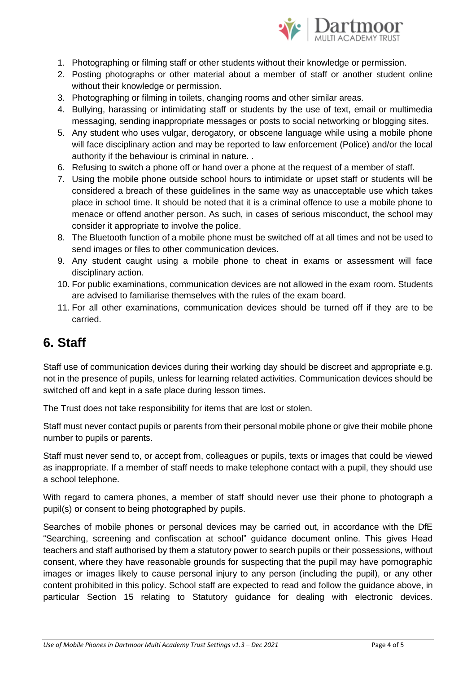

- 1. Photographing or filming staff or other students without their knowledge or permission.
- 2. Posting photographs or other material about a member of staff or another student online without their knowledge or permission.
- 3. Photographing or filming in toilets, changing rooms and other similar areas.
- 4. Bullying, harassing or intimidating staff or students by the use of text, email or multimedia messaging, sending inappropriate messages or posts to social networking or blogging sites.
- 5. Any student who uses vulgar, derogatory, or obscene language while using a mobile phone will face disciplinary action and may be reported to law enforcement (Police) and/or the local authority if the behaviour is criminal in nature. .
- 6. Refusing to switch a phone off or hand over a phone at the request of a member of staff.
- 7. Using the mobile phone outside school hours to intimidate or upset staff or students will be considered a breach of these guidelines in the same way as unacceptable use which takes place in school time. It should be noted that it is a criminal offence to use a mobile phone to menace or offend another person. As such, in cases of serious misconduct, the school may consider it appropriate to involve the police.
- 8. The Bluetooth function of a mobile phone must be switched off at all times and not be used to send images or files to other communication devices.
- 9. Any student caught using a mobile phone to cheat in exams or assessment will face disciplinary action.
- 10. For public examinations, communication devices are not allowed in the exam room. Students are advised to familiarise themselves with the rules of the exam board.
- 11. For all other examinations, communication devices should be turned off if they are to be carried.

### **6. Staff**

Staff use of communication devices during their working day should be discreet and appropriate e.g. not in the presence of pupils, unless for learning related activities. Communication devices should be switched off and kept in a safe place during lesson times.

The Trust does not take responsibility for items that are lost or stolen.

Staff must never contact pupils or parents from their personal mobile phone or give their mobile phone number to pupils or parents.

Staff must never send to, or accept from, colleagues or pupils, texts or images that could be viewed as inappropriate. If a member of staff needs to make telephone contact with a pupil, they should use a school telephone.

With regard to camera phones, a member of staff should never use their phone to photograph a pupil(s) or consent to being photographed by pupils.

Searches of mobile phones or personal devices may be carried out, in accordance with the DfE ["Searching, screening and confiscation at school"](https://www.gov.uk/government/publications/searching-screening-and-confiscation) guidance document online. This gives Head teachers and staff authorised by them a statutory power to search pupils or their possessions, without consent, where they have reasonable grounds for suspecting that the pupil may have pornographic images or images likely to cause personal injury to any person (including the pupil), or any other content prohibited in this policy. School staff are expected to read and follow the guidance above, in particular Section 15 relating to Statutory guidance for dealing with electronic devices.